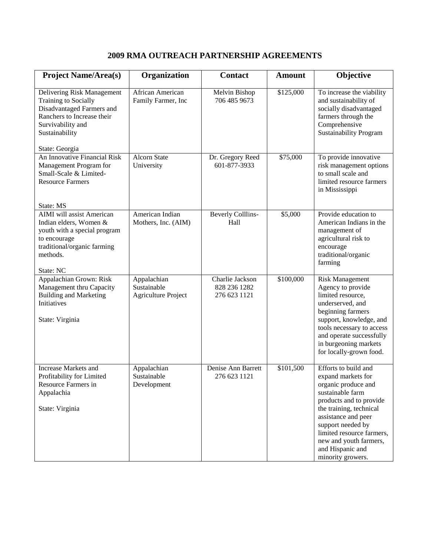## **2009 RMA OUTREACH PARTNERSHIP AGREEMENTS**

| <b>Project Name/Area(s)</b>                                                                                                                                            | Organization                                             | <b>Contact</b>                                  | <b>Amount</b> | Objective                                                                                                                                                                                                                                                                               |
|------------------------------------------------------------------------------------------------------------------------------------------------------------------------|----------------------------------------------------------|-------------------------------------------------|---------------|-----------------------------------------------------------------------------------------------------------------------------------------------------------------------------------------------------------------------------------------------------------------------------------------|
| Delivering Risk Management<br>Training to Socially<br>Disadvantaged Farmers and<br>Ranchers to Increase their<br>Survivability and<br>Sustainability<br>State: Georgia | African American<br>Family Farmer, Inc                   | Melvin Bishop<br>706 485 9673                   | \$125,000     | To increase the viability<br>and sustainability of<br>socially disadvantaged<br>farmers through the<br>Comprehensive<br><b>Sustainability Program</b>                                                                                                                                   |
| An Innovative Financial Risk<br>Management Program for<br>Small-Scale & Limited-<br><b>Resource Farmers</b><br>State: MS                                               | <b>Alcorn State</b><br>University                        | Dr. Gregory Reed<br>601-877-3933                | \$75,000      | To provide innovative<br>risk management options<br>to small scale and<br>limited resource farmers<br>in Mississippi                                                                                                                                                                    |
| <b>AIMI</b> will assist American<br>Indian elders, Women &<br>youth with a special program<br>to encourage<br>traditional/organic farming<br>methods.                  | American Indian<br>Mothers, Inc. (AIM)                   | <b>Beverly Colllins-</b><br>Hall                | \$5,000       | Provide education to<br>American Indians in the<br>management of<br>agricultural risk to<br>encourage<br>traditional/organic<br>farming                                                                                                                                                 |
| State: NC<br>Appalachian Grown: Risk<br>Management thru Capacity<br><b>Building and Marketing</b><br>Initiatives<br>State: Virginia                                    | Appalachian<br>Sustainable<br><b>Agriculture Project</b> | Charlie Jackson<br>828 236 1282<br>276 623 1121 | \$100,000     | <b>Risk Management</b><br>Agency to provide<br>limited resource,<br>underserved, and<br>beginning farmers<br>support, knowledge, and<br>tools necessary to access<br>and operate successfully<br>in burgeoning markets<br>for locally-grown food.                                       |
| <b>Increase Markets and</b><br>Profitability for Limited<br>Resource Farmers in<br>Appalachia<br>State: Virginia                                                       | Appalachian<br>Sustainable<br>Development                | Denise Ann Barrett<br>276 623 1121              | \$101,500     | Efforts to build and<br>expand markets for<br>organic produce and<br>sustainable farm<br>products and to provide<br>the training, technical<br>assistance and peer<br>support needed by<br>limited resource farmers,<br>new and youth farmers,<br>and Hispanic and<br>minority growers. |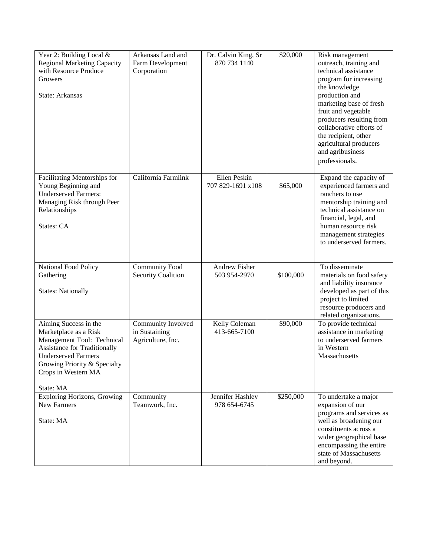| Year 2: Building Local &<br><b>Regional Marketing Capacity</b><br>with Resource Produce<br>Growers<br>State: Arkansas                                                                                                 | Arkansas Land and<br>Farm Development<br>Corporation     | Dr. Calvin King, Sr<br>870 734 1140 | \$20,000  | Risk management<br>outreach, training and<br>technical assistance<br>program for increasing<br>the knowledge<br>production and<br>marketing base of fresh<br>fruit and vegetable<br>producers resulting from<br>collaborative efforts of<br>the recipient, other<br>agricultural producers<br>and agribusiness<br>professionals. |
|-----------------------------------------------------------------------------------------------------------------------------------------------------------------------------------------------------------------------|----------------------------------------------------------|-------------------------------------|-----------|----------------------------------------------------------------------------------------------------------------------------------------------------------------------------------------------------------------------------------------------------------------------------------------------------------------------------------|
| Facilitating Mentorships for<br>Young Beginning and<br><b>Underserved Farmers:</b><br>Managing Risk through Peer<br>Relationships<br>States: CA                                                                       | California Farmlink                                      | Ellen Peskin<br>707 829-1691 x108   | \$65,000  | Expand the capacity of<br>experienced farmers and<br>ranchers to use<br>mentorship training and<br>technical assistance on<br>financial, legal, and<br>human resource risk<br>management strategies<br>to underserved farmers.                                                                                                   |
| National Food Policy<br>Gathering<br><b>States: Nationally</b>                                                                                                                                                        | <b>Community Food</b><br><b>Security Coalition</b>       | Andrew Fisher<br>503 954-2970       | \$100,000 | To disseminate<br>materials on food safety<br>and liability insurance<br>developed as part of this<br>project to limited<br>resource producers and<br>related organizations.                                                                                                                                                     |
| Aiming Success in the<br>Marketplace as a Risk<br>Management Tool: Technical<br><b>Assistance for Traditionally</b><br><b>Underserved Farmers</b><br>Growing Priority & Specialty<br>Crops in Western MA<br>State: MA | Community Involved<br>in Sustaining<br>Agriculture, Inc. | Kelly Coleman<br>413-665-7100       | \$90,000  | To provide technical<br>assistance in marketing<br>to underserved farmers<br>in Western<br>Massachusetts                                                                                                                                                                                                                         |
| <b>Exploring Horizons, Growing</b><br>New Farmers<br>State: MA                                                                                                                                                        | Community<br>Teamwork, Inc.                              | Jennifer Hashley<br>978 654-6745    | \$250,000 | To undertake a major<br>expansion of our<br>programs and services as<br>well as broadening our<br>constituents across a<br>wider geographical base<br>encompassing the entire<br>state of Massachusetts<br>and beyond.                                                                                                           |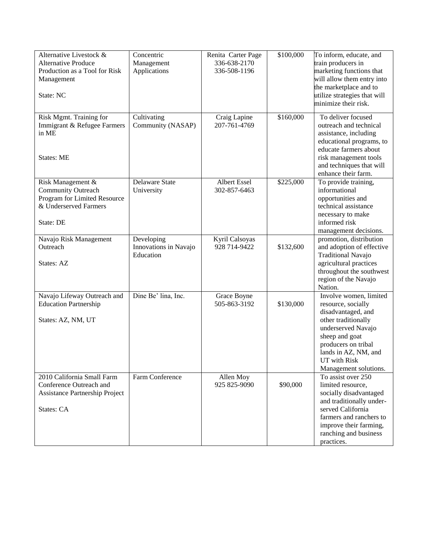| Alternative Livestock &        | Concentric            | Renita Carter Page | \$100,000 | To inform, educate, and      |
|--------------------------------|-----------------------|--------------------|-----------|------------------------------|
| <b>Alternative Produce</b>     | Management            | 336-638-2170       |           | train producers in           |
| Production as a Tool for Risk  | Applications          | 336-508-1196       |           | marketing functions that     |
| Management                     |                       |                    |           | will allow them entry into   |
|                                |                       |                    |           | the marketplace and to       |
| State: NC                      |                       |                    |           | utilize strategies that will |
|                                |                       |                    |           | minimize their risk.         |
|                                |                       |                    |           |                              |
| Risk Mgmt. Training for        | Cultivating           | Craig Lapine       | \$160,000 | To deliver focused           |
| Immigrant & Refugee Farmers    | Community (NASAP)     | 207-761-4769       |           | outreach and technical       |
| in ME                          |                       |                    |           | assistance, including        |
|                                |                       |                    |           | educational programs, to     |
|                                |                       |                    |           | educate farmers about        |
| <b>States: ME</b>              |                       |                    |           | risk management tools        |
|                                |                       |                    |           | and techniques that will     |
|                                |                       |                    |           | enhance their farm.          |
| Risk Management &              | Delaware State        | Albert Essel       | \$225,000 | To provide training,         |
| <b>Community Outreach</b>      | University            | 302-857-6463       |           | informational                |
| Program for Limited Resource   |                       |                    |           | opportunities and            |
| & Underserved Farmers          |                       |                    |           | technical assistance         |
|                                |                       |                    |           | necessary to make            |
| State: DE                      |                       |                    |           | informed risk                |
|                                |                       |                    |           | management decisions.        |
| Navajo Risk Management         | Developing            | Kyril Calsoyas     |           | promotion, distribution      |
| Outreach                       | Innovations in Navajo | 928 714-9422       | \$132,600 | and adoption of effective    |
|                                | Education             |                    |           | <b>Traditional Navajo</b>    |
| States: AZ                     |                       |                    |           | agricultural practices       |
|                                |                       |                    |           | throughout the southwest     |
|                                |                       |                    |           | region of the Navajo         |
|                                |                       |                    |           | Nation.                      |
| Navajo Lifeway Outreach and    | Dine Be' lina, Inc.   | Grace Boyne        |           | Involve women, limited       |
| <b>Education Partnership</b>   |                       | 505-863-3192       | \$130,000 | resource, socially           |
|                                |                       |                    |           | disadvantaged, and           |
| States: AZ, NM, UT             |                       |                    |           | other traditionally          |
|                                |                       |                    |           | underserved Navajo           |
|                                |                       |                    |           | sheep and goat               |
|                                |                       |                    |           | producers on tribal          |
|                                |                       |                    |           | lands in AZ, NM, and         |
|                                |                       |                    |           | UT with Risk                 |
|                                |                       |                    |           | Management solutions.        |
| 2010 California Small Farm     | Farm Conference       | Allen Moy          |           | To assist over 250           |
| Conference Outreach and        |                       | 925 825-9090       | \$90,000  | limited resource,            |
| Assistance Partnership Project |                       |                    |           | socially disadvantaged       |
|                                |                       |                    |           | and traditionally under-     |
| States: CA                     |                       |                    |           | served California            |
|                                |                       |                    |           | farmers and ranchers to      |
|                                |                       |                    |           | improve their farming,       |
|                                |                       |                    |           | ranching and business        |
|                                |                       |                    |           | practices.                   |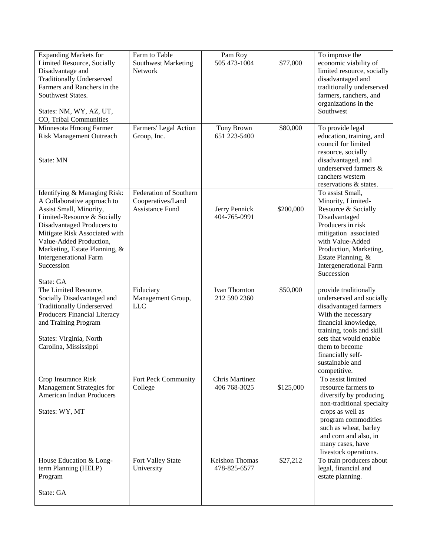| <b>Expanding Markets for</b><br><b>Limited Resource, Socially</b><br>Disadvantage and<br><b>Traditionally Underserved</b><br>Farmers and Ranchers in the<br>Southwest States.<br>States: NM, WY, AZ, UT,<br>CO, Tribal Communities                                                                           | Farm to Table<br><b>Southwest Marketing</b><br>Network                | Pam Roy<br>505 473-1004               | \$77,000  | To improve the<br>economic viability of<br>limited resource, socially<br>disadvantaged and<br>traditionally underserved<br>farmers, ranchers, and<br>organizations in the<br>Southwest                                                                    |
|--------------------------------------------------------------------------------------------------------------------------------------------------------------------------------------------------------------------------------------------------------------------------------------------------------------|-----------------------------------------------------------------------|---------------------------------------|-----------|-----------------------------------------------------------------------------------------------------------------------------------------------------------------------------------------------------------------------------------------------------------|
| Minnesota Hmong Farmer<br><b>Risk Management Outreach</b><br>State: MN                                                                                                                                                                                                                                       | Farmers' Legal Action<br>Group, Inc.                                  | Tony Brown<br>651 223-5400            | \$80,000  | To provide legal<br>education, training, and<br>council for limited<br>resource, socially<br>disadvantaged, and<br>underserved farmers &<br>ranchers western<br>reservations & states.                                                                    |
| Identifying & Managing Risk:<br>A Collaborative approach to<br>Assist Small, Minority,<br>Limited-Resource & Socially<br>Disadvantaged Producers to<br>Mitigate Risk Associated with<br>Value-Added Production,<br>Marketing, Estate Planning, &<br><b>Intergenerational Farm</b><br>Succession<br>State: GA | Federation of Southern<br>Cooperatives/Land<br><b>Assistance Fund</b> | Jerry Pennick<br>404-765-0991         | \$200,000 | To assist Small,<br>Minority, Limited-<br>Resource & Socially<br>Disadvantaged<br>Producers in risk<br>mitigation associated<br>with Value-Added<br>Production, Marketing,<br>Estate Planning, &<br><b>Intergenerational Farm</b><br>Succession           |
| The Limited Resource,<br>Socially Disadvantaged and<br><b>Traditionally Underserved</b><br>Producers Financial Literacy<br>and Training Program<br>States: Virginia, North<br>Carolina, Mississippi                                                                                                          | Fiduciary<br>Management Group,<br><b>LLC</b>                          | <b>Ivan Thornton</b><br>212 590 2360  | \$50,000  | provide traditionally<br>underserved and socially<br>disadvantaged farmers<br>With the necessary<br>financial knowledge,<br>training, tools and skill<br>sets that would enable<br>them to become<br>financially self-<br>sustainable and<br>competitive. |
| Crop Insurance Risk<br>Management Strategies for<br><b>American Indian Producers</b><br>States: WY, MT                                                                                                                                                                                                       | Fort Peck Community<br>College                                        | Chris Martinez<br>406 768-3025        | \$125,000 | To assist limited<br>resource farmers to<br>diversify by producing<br>non-traditional specialty<br>crops as well as<br>program commodities<br>such as wheat, barley<br>and corn and also, in<br>many cases, have<br>livestock operations.                 |
| House Education & Long-<br>term Planning (HELP)<br>Program                                                                                                                                                                                                                                                   | Fort Valley State<br>University                                       | <b>Keishon Thomas</b><br>478-825-6577 | \$27,212  | To train producers about<br>legal, financial and<br>estate planning.                                                                                                                                                                                      |
| State: GA                                                                                                                                                                                                                                                                                                    |                                                                       |                                       |           |                                                                                                                                                                                                                                                           |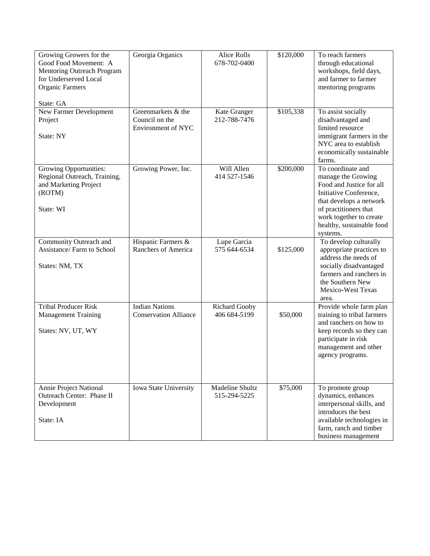| Growing Growers for the<br>Good Food Movement: A<br><b>Mentoring Outreach Program</b><br>for Underserved Local<br>Organic Farmers<br>State: GA | Georgia Organics                                           | <b>Alice Rolls</b><br>678-702-0400   | \$120,000 | To reach farmers<br>through educational<br>workshops, field days,<br>and farmer to farmer<br>mentoring programs                                                                                                       |
|------------------------------------------------------------------------------------------------------------------------------------------------|------------------------------------------------------------|--------------------------------------|-----------|-----------------------------------------------------------------------------------------------------------------------------------------------------------------------------------------------------------------------|
| New Farmer Development<br>Project<br>State: NY                                                                                                 | Greenmarkets & the<br>Council on the<br>Environment of NYC | Kate Granger<br>212-788-7476         | \$105,338 | To assist socially<br>disadvantaged and<br>limited resource<br>immigrant farmers in the<br>NYC area to establish<br>economically sustainable<br>farms.                                                                |
| <b>Growing Opportunities:</b><br>Regional Outreach, Training,<br>and Marketing Project<br>(ROTM)<br>State: WI                                  | Growing Power, Inc.                                        | Will Allen<br>414 527-1546           | \$200,000 | To coordinate and<br>manage the Growing<br>Food and Justice for all<br>Initiative Conference,<br>that develops a network<br>of practitioners that<br>work together to create<br>healthy, sustainable food<br>systems. |
| Community Outreach and<br>Assistance/Farm to School<br>States: NM, TX                                                                          | Hispanic Farmers &<br>Ranchers of America                  | Lupe Garcia<br>575 644-6534          | \$125,000 | To develop culturally<br>appropriate practices to<br>address the needs of<br>socially disadvantaged<br>farmers and ranchers in<br>the Southern New<br>Mexico-West Texas<br>area.                                      |
| <b>Tribal Producer Risk</b><br><b>Management Training</b><br>States: NV, UT, WY                                                                | <b>Indian Nations</b><br><b>Conservation Alliance</b>      | <b>Richard Gooby</b><br>406 684-5199 | \$50,000  | Provide whole farm plan<br>training to tribal farmers<br>and ranchers on how to<br>keep records so they can<br>participate in risk<br>management and other<br>agency programs.                                        |
| Annie Project National<br>Outreach Center: Phase II<br>Development<br>State: IA                                                                | Iowa State University                                      | Madeline Shultz<br>515-294-5225      | \$75,000  | To promote group<br>dynamics, enhances<br>interpersonal skills, and<br>introduces the best<br>available technologies in<br>farm, ranch and timber<br>business management                                              |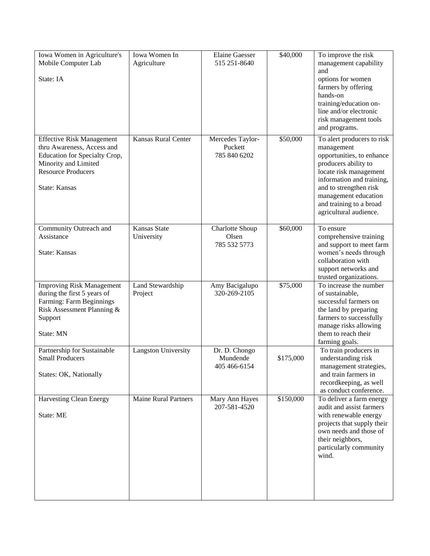| Iowa Women in Agriculture's<br>Mobile Computer Lab                                                                                                                           | Iowa Women In<br>Agriculture | <b>Elaine Gaesser</b><br>515 251-8640       | \$40,000  | To improve the risk<br>management capability<br>and                                                                                                                                                                                                         |
|------------------------------------------------------------------------------------------------------------------------------------------------------------------------------|------------------------------|---------------------------------------------|-----------|-------------------------------------------------------------------------------------------------------------------------------------------------------------------------------------------------------------------------------------------------------------|
| State: IA                                                                                                                                                                    |                              |                                             |           | options for women<br>farmers by offering<br>hands-on<br>training/education on-<br>line and/or electronic<br>risk management tools<br>and programs.                                                                                                          |
| <b>Effective Risk Management</b><br>thru Awareness, Access and<br>Education for Specialty Crop,<br>Minority and Limited<br><b>Resource Producers</b><br><b>State: Kansas</b> | <b>Kansas Rural Center</b>   | Mercedes Taylor-<br>Puckett<br>785 840 6202 | \$50,000  | To alert producers to risk<br>management<br>opportunities, to enhance<br>producers ability to<br>locate risk management<br>information and training,<br>and to strengthen risk<br>management education<br>and training to a broad<br>agricultural audience. |
| Community Outreach and<br>Assistance<br><b>State: Kansas</b>                                                                                                                 | Kansas State<br>University   | Charlotte Shoup<br>Olsen<br>785 532 5773    | \$60,000  | To ensure<br>comprehensive training<br>and support to meet farm<br>women's needs through<br>collaboration with<br>support networks and<br>trusted organizations.                                                                                            |
| <b>Improving Risk Management</b><br>during the first 5 years of<br>Farming: Farm Beginnings<br>Risk Assessment Planning &<br>Support<br>State: MN                            | Land Stewardship<br>Project  | Amy Bacigalupo<br>320-269-2105              | \$75,000  | To increase the number<br>of sustainable,<br>successful farmers on<br>the land by preparing<br>farmers to successfully<br>manage risks allowing<br>them to reach their<br>farming goals.                                                                    |
| Partnership for Sustainable<br><b>Small Producers</b><br>States: OK, Nationally                                                                                              | <b>Langston University</b>   | Dr. D. Chongo<br>Mundende<br>405 466-6154   | \$175,000 | To train producers in<br>understanding risk<br>management strategies,<br>and train farmers in<br>recordkeeping, as well<br>as conduct conference.                                                                                                           |
| <b>Harvesting Clean Energy</b><br>State: ME                                                                                                                                  | <b>Maine Rural Partners</b>  | Mary Ann Hayes<br>207-581-4520              | \$150,000 | To deliver a farm energy<br>audit and assist farmers<br>with renewable energy<br>projects that supply their<br>own needs and those of<br>their neighbors,<br>particularly community<br>wind.                                                                |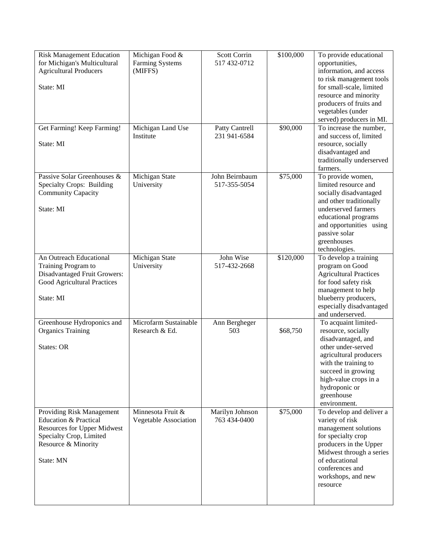| <b>Risk Management Education</b>   | Michigan Food &       | Scott Corrin    | \$100,000 | To provide educational        |
|------------------------------------|-----------------------|-----------------|-----------|-------------------------------|
| for Michigan's Multicultural       | Farming Systems       | 517 432-0712    |           | opportunities,                |
| <b>Agricultural Producers</b>      | (MIFFS)               |                 |           | information, and access       |
|                                    |                       |                 |           | to risk management tools      |
| State: MI                          |                       |                 |           | for small-scale, limited      |
|                                    |                       |                 |           | resource and minority         |
|                                    |                       |                 |           |                               |
|                                    |                       |                 |           | producers of fruits and       |
|                                    |                       |                 |           | vegetables (under             |
|                                    |                       |                 |           | served) producers in MI.      |
| Get Farming! Keep Farming!         | Michigan Land Use     | Patty Cantrell  | \$90,000  | To increase the number,       |
|                                    | Institute             | 231 941-6584    |           | and success of, limited       |
| State: MI                          |                       |                 |           | resource, socially            |
|                                    |                       |                 |           | disadvantaged and             |
|                                    |                       |                 |           | traditionally underserved     |
|                                    |                       |                 |           | farmers.                      |
| Passive Solar Greenhouses &        | Michigan State        | John Beirnbaum  | \$75,000  | To provide women,             |
| Specialty Crops: Building          | University            | 517-355-5054    |           | limited resource and          |
| <b>Community Capacity</b>          |                       |                 |           |                               |
|                                    |                       |                 |           | socially disadvantaged        |
|                                    |                       |                 |           | and other traditionally       |
| State: MI                          |                       |                 |           | underserved farmers           |
|                                    |                       |                 |           | educational programs          |
|                                    |                       |                 |           | and opportunities using       |
|                                    |                       |                 |           | passive solar                 |
|                                    |                       |                 |           | greenhouses                   |
|                                    |                       |                 |           | technologies.                 |
| An Outreach Educational            | Michigan State        | John Wise       | \$120,000 | To develop a training         |
| Training Program to                | University            | 517-432-2668    |           | program on Good               |
| Disadvantaged Fruit Growers:       |                       |                 |           | <b>Agricultural Practices</b> |
| Good Agricultural Practices        |                       |                 |           | for food safety risk          |
|                                    |                       |                 |           | management to help            |
| State: MI                          |                       |                 |           | blueberry producers,          |
|                                    |                       |                 |           |                               |
|                                    |                       |                 |           | especially disadvantaged      |
|                                    |                       |                 |           | and underserved.              |
| Greenhouse Hydroponics and         | Microfarm Sustainable | Ann Bergheger   |           | To acquaint limited-          |
| <b>Organics Training</b>           | Research & Ed.        | 503             | \$68,750  | resource, socially            |
|                                    |                       |                 |           | disadvantaged, and            |
| <b>States: OR</b>                  |                       |                 |           | other under-served            |
|                                    |                       |                 |           | agricultural producers        |
|                                    |                       |                 |           | with the training to          |
|                                    |                       |                 |           | succeed in growing            |
|                                    |                       |                 |           | high-value crops in a         |
|                                    |                       |                 |           | hydroponic or                 |
|                                    |                       |                 |           | greenhouse                    |
|                                    |                       |                 |           | environment.                  |
| Providing Risk Management          | Minnesota Fruit &     |                 | \$75,000  |                               |
|                                    |                       | Marilyn Johnson |           | To develop and deliver a      |
| <b>Education &amp; Practical</b>   | Vegetable Association | 763 434-0400    |           | variety of risk               |
| <b>Resources for Upper Midwest</b> |                       |                 |           | management solutions          |
| Specialty Crop, Limited            |                       |                 |           | for specialty crop            |
| Resource & Minority                |                       |                 |           | producers in the Upper        |
|                                    |                       |                 |           | Midwest through a series      |
| State: MN                          |                       |                 |           | of educational                |
|                                    |                       |                 |           | conferences and               |
|                                    |                       |                 |           | workshops, and new            |
|                                    |                       |                 |           | resource                      |
|                                    |                       |                 |           |                               |
|                                    |                       |                 |           |                               |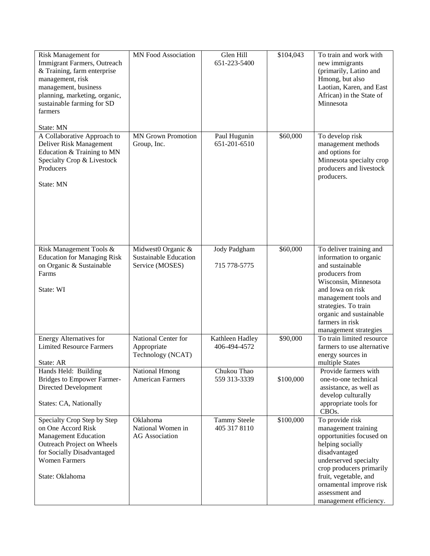| <b>Risk Management for</b><br>Immigrant Farmers, Outreach<br>& Training, farm enterprise<br>management, risk<br>management, business<br>planning, marketing, organic,<br>sustainable farming for SD<br>farmers | MN Food Association                                                   | Glen Hill<br>651-223-5400           | \$104,043 | To train and work with<br>new immigrants<br>(primarily, Latino and<br>Hmong, but also<br>Laotian, Karen, and East<br>African) in the State of<br>Minnesota                                                                                                   |
|----------------------------------------------------------------------------------------------------------------------------------------------------------------------------------------------------------------|-----------------------------------------------------------------------|-------------------------------------|-----------|--------------------------------------------------------------------------------------------------------------------------------------------------------------------------------------------------------------------------------------------------------------|
| State: MN                                                                                                                                                                                                      |                                                                       |                                     |           |                                                                                                                                                                                                                                                              |
| A Collaborative Approach to<br>Deliver Risk Management<br>Education & Training to MN<br>Specialty Crop & Livestock<br>Producers<br>State: MN                                                                   | <b>MN Grown Promotion</b><br>Group, Inc.                              | Paul Hugunin<br>651-201-6510        | \$60,000  | To develop risk<br>management methods<br>and options for<br>Minnesota specialty crop<br>producers and livestock<br>producers.                                                                                                                                |
|                                                                                                                                                                                                                |                                                                       |                                     |           |                                                                                                                                                                                                                                                              |
| Risk Management Tools &<br><b>Education for Managing Risk</b><br>on Organic & Sustainable<br>Farms                                                                                                             | Midwest0 Organic &<br><b>Sustainable Education</b><br>Service (MOSES) | Jody Padgham<br>715 778-5775        | \$60,000  | To deliver training and<br>information to organic<br>and sustainable<br>producers from                                                                                                                                                                       |
| State: WI                                                                                                                                                                                                      |                                                                       |                                     |           | Wisconsin, Minnesota<br>and Iowa on risk<br>management tools and<br>strategies. To train<br>organic and sustainable<br>farmers in risk<br>management strategies                                                                                              |
| <b>Energy Alternatives for</b><br><b>Limited Resource Farmers</b><br>State: AR                                                                                                                                 | National Center for<br>Appropriate<br>Technology (NCAT)               | Kathleen Hadley<br>406-494-4572     | \$90,000  | To train limited resource<br>farmers to use alternative<br>energy sources in<br>multiple States                                                                                                                                                              |
| Hands Held: Building<br>Bridges to Empower Farmer-<br>Directed Development<br>States: CA, Nationally                                                                                                           | <b>National Hmong</b><br><b>American Farmers</b>                      | Chukou Thao<br>559 313-3339         | \$100,000 | Provide farmers with<br>one-to-one technical<br>assistance, as well as<br>develop culturally<br>appropriate tools for<br>CBO <sub>s</sub> .                                                                                                                  |
| Specialty Crop Step by Step<br>on One Accord Risk<br><b>Management Education</b><br>Outreach Project on Wheels<br>for Socially Disadvantaged<br><b>Women Farmers</b><br>State: Oklahoma                        | Oklahoma<br>National Women in<br><b>AG</b> Association                | <b>Tammy Steele</b><br>405 317 8110 | \$100,000 | To provide risk<br>management training<br>opportunities focused on<br>helping socially<br>disadvantaged<br>underserved specialty<br>crop producers primarily<br>fruit, vegetable, and<br>ornamental improve risk<br>assessment and<br>management efficiency. |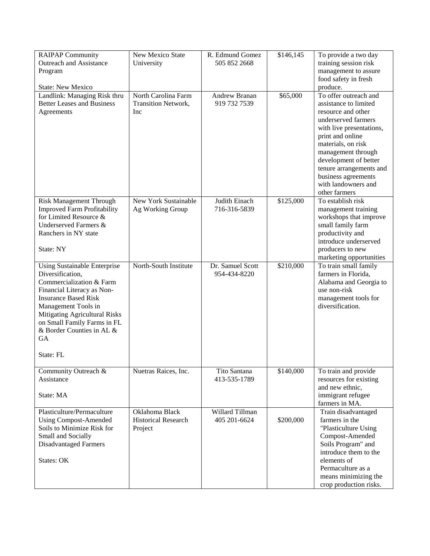| <b>RAIPAP Community</b><br>R. Edmund Gomez<br>New Mexico State              | \$146,145<br>To provide a two day                             |  |
|-----------------------------------------------------------------------------|---------------------------------------------------------------|--|
| <b>Outreach and Assistance</b><br>505 852 2668<br>University                | training session risk                                         |  |
| Program                                                                     | management to assure                                          |  |
|                                                                             | food safety in fresh                                          |  |
| <b>State: New Mexico</b>                                                    | produce.                                                      |  |
| North Carolina Farm<br><b>Andrew Branan</b><br>Landlink: Managing Risk thru | To offer outreach and<br>\$65,000                             |  |
| 919 732 7539<br><b>Better Leases and Business</b><br>Transition Network,    | assistance to limited                                         |  |
| Agreements<br>Inc                                                           | resource and other                                            |  |
|                                                                             | underserved farmers                                           |  |
|                                                                             | with live presentations,                                      |  |
|                                                                             | print and online                                              |  |
|                                                                             | materials, on risk                                            |  |
|                                                                             | management through                                            |  |
|                                                                             | development of better                                         |  |
|                                                                             | tenure arrangements and                                       |  |
|                                                                             | business agreements                                           |  |
|                                                                             | with landowners and                                           |  |
|                                                                             | other farmers                                                 |  |
| New York Sustainable<br>Judith Einach<br>Risk Management Through            | \$125,000<br>To establish risk                                |  |
| <b>Improved Farm Profitability</b><br>716-316-5839<br>Ag Working Group      | management training                                           |  |
| for Limited Resource &                                                      | workshops that improve                                        |  |
| Underserved Farmers &                                                       | small family farm                                             |  |
| Ranchers in NY state                                                        | productivity and                                              |  |
|                                                                             | introduce underserved                                         |  |
| State: NY                                                                   | producers to new                                              |  |
| North-South Institute<br>Dr. Samuel Scott                                   | marketing opportunities<br>\$210,000<br>To train small family |  |
| <b>Using Sustainable Enterprise</b><br>Diversification,<br>954-434-8220     | farmers in Florida,                                           |  |
| Commercialization & Farm                                                    | Alabama and Georgia to                                        |  |
| Financial Literacy as Non-                                                  | use non-risk                                                  |  |
| <b>Insurance Based Risk</b>                                                 | management tools for                                          |  |
| Management Tools in                                                         | diversification.                                              |  |
| Mitigating Agricultural Risks                                               |                                                               |  |
| on Small Family Farms in FL                                                 |                                                               |  |
| & Border Counties in AL &                                                   |                                                               |  |
| GA                                                                          |                                                               |  |
|                                                                             |                                                               |  |
| State: FL                                                                   |                                                               |  |
|                                                                             |                                                               |  |
| Community Outreach &<br>Tito Santana<br>Nuetras Raices, Inc.                | \$140,000<br>To train and provide                             |  |
| Assistance<br>413-535-1789                                                  | resources for existing                                        |  |
|                                                                             | and new ethnic,                                               |  |
| State: MA                                                                   | immigrant refugee                                             |  |
|                                                                             | farmers in MA.                                                |  |
| Willard Tillman<br>Plasticulture/Permaculture<br>Oklahoma Black             | Train disadvantaged                                           |  |
| 405 201-6624<br><b>Using Compost-Amended</b><br><b>Historical Research</b>  | \$200,000<br>farmers in the                                   |  |
| Soils to Minimize Risk for<br>Project                                       | "Plasticulture Using                                          |  |
| Small and Socially                                                          | Compost-Amended                                               |  |
| <b>Disadvantaged Farmers</b>                                                | Soils Program" and<br>introduce them to the                   |  |
| <b>States: OK</b>                                                           | elements of                                                   |  |
|                                                                             | Permaculture as a                                             |  |
|                                                                             | means minimizing the                                          |  |
|                                                                             | crop production risks.                                        |  |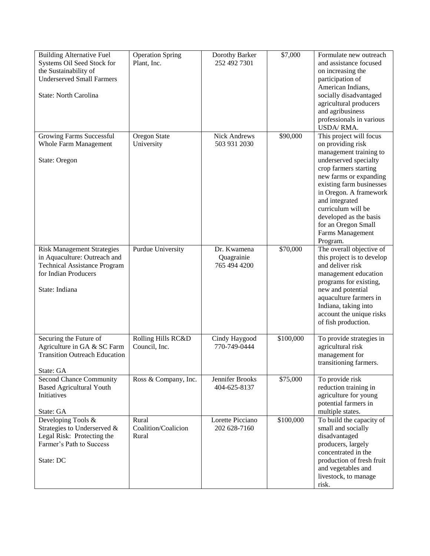| <b>Building Alternative Fuel</b><br>Systems Oil Seed Stock for<br>the Sustainability of<br><b>Underserved Small Farmers</b><br>State: North Carolina | <b>Operation Spring</b><br>Plant, Inc. | Dorothy Barker<br>252 492 7301            | \$7,000   | Formulate new outreach<br>and assistance focused<br>on increasing the<br>participation of<br>American Indians,<br>socially disadvantaged<br>agricultural producers<br>and agribusiness<br>professionals in various<br>USDA/RMA.                                                                                                   |
|------------------------------------------------------------------------------------------------------------------------------------------------------|----------------------------------------|-------------------------------------------|-----------|-----------------------------------------------------------------------------------------------------------------------------------------------------------------------------------------------------------------------------------------------------------------------------------------------------------------------------------|
| Growing Farms Successful<br><b>Whole Farm Management</b><br>State: Oregon                                                                            | Oregon State<br>University             | <b>Nick Andrews</b><br>503 931 2030       | \$90,000  | This project will focus<br>on providing risk<br>management training to<br>underserved specialty<br>crop farmers starting<br>new farms or expanding<br>existing farm businesses<br>in Oregon. A framework<br>and integrated<br>curriculum will be<br>developed as the basis<br>for an Oregon Small<br>Farms Management<br>Program. |
| <b>Risk Management Strategies</b><br>in Aquaculture: Outreach and<br><b>Technical Assistance Program</b><br>for Indian Producers<br>State: Indiana   | Purdue University                      | Dr. Kwamena<br>Quagrainie<br>765 494 4200 | \$70,000  | The overall objective of<br>this project is to develop<br>and deliver risk<br>management education<br>programs for existing,<br>new and potential<br>aquaculture farmers in<br>Indiana, taking into<br>account the unique risks<br>of fish production.                                                                            |
| Securing the Future of<br>Agriculture in GA & SC Farm<br><b>Transition Outreach Education</b><br>State: GA                                           | Rolling Hills RC&D<br>Council, Inc.    | Cindy Haygood<br>770-749-0444             | \$100,000 | To provide strategies in<br>agricultural risk<br>management for<br>transitioning farmers.                                                                                                                                                                                                                                         |
| <b>Second Chance Community</b><br><b>Based Agricultural Youth</b><br>Initiatives<br>State: GA                                                        | Ross & Company, Inc.                   | Jennifer Brooks<br>404-625-8137           | \$75,000  | To provide risk<br>reduction training in<br>agriculture for young<br>potential farmers in<br>multiple states.                                                                                                                                                                                                                     |
| Developing Tools &<br>Strategies to Underserved &<br>Legal Risk: Protecting the<br>Farmer's Path to Success<br>State: DC                             | Rural<br>Coalition/Coalicion<br>Rural  | Lorette Picciano<br>202 628-7160          | \$100,000 | To build the capacity of<br>small and socially<br>disadvantaged<br>producers, largely<br>concentrated in the<br>production of fresh fruit<br>and vegetables and<br>livestock, to manage<br>risk.                                                                                                                                  |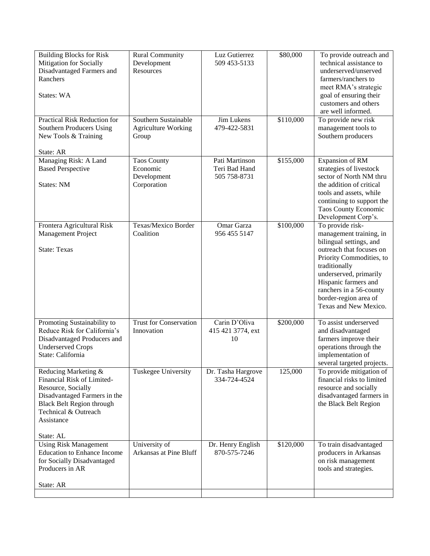| <b>Building Blocks for Risk</b>    | <b>Rural Community</b>     | Luz Gutierrez      | \$80,000  | To provide outreach and    |
|------------------------------------|----------------------------|--------------------|-----------|----------------------------|
| <b>Mitigation for Socially</b>     | Development                | 509 453-5133       |           | technical assistance to    |
| Disadvantaged Farmers and          | Resources                  |                    |           | underserved/unserved       |
| Ranchers                           |                            |                    |           | farmers/ranchers to        |
|                                    |                            |                    |           | meet RMA's strategic       |
| States: WA                         |                            |                    |           | goal of ensuring their     |
|                                    |                            |                    |           | customers and others       |
|                                    |                            |                    |           | are well informed.         |
| Practical Risk Reduction for       | Southern Sustainable       | Jim Lukens         | \$110,000 | To provide new risk        |
| <b>Southern Producers Using</b>    | <b>Agriculture Working</b> | 479-422-5831       |           | management tools to        |
| New Tools & Training               | Group                      |                    |           | Southern producers         |
|                                    |                            |                    |           |                            |
| State: AR                          |                            |                    |           |                            |
| Managing Risk: A Land              | <b>Taos County</b>         | Pati Martinson     | \$155,000 | Expansion of RM            |
| <b>Based Perspective</b>           | Economic                   | Teri Bad Hand      |           | strategies of livestock    |
|                                    | Development                | 505 758-8731       |           | sector of North NM thru    |
| States: NM                         | Corporation                |                    |           | the addition of critical   |
|                                    |                            |                    |           | tools and assets, while    |
|                                    |                            |                    |           | continuing to support the  |
|                                    |                            |                    |           | Taos County Economic       |
|                                    |                            |                    |           | Development Corp's.        |
| Frontera Agricultural Risk         | Texas/Mexico Border        | Omar Garza         | \$100,000 | To provide risk-           |
| Management Project                 | Coalition                  | 956 455 5147       |           | management training, in    |
|                                    |                            |                    |           | bilingual settings, and    |
| <b>State: Texas</b>                |                            |                    |           | outreach that focuses on   |
|                                    |                            |                    |           | Priority Commodities, to   |
|                                    |                            |                    |           | traditionally              |
|                                    |                            |                    |           | underserved, primarily     |
|                                    |                            |                    |           | Hispanic farmers and       |
|                                    |                            |                    |           | ranchers in a 56-county    |
|                                    |                            |                    |           | border-region area of      |
|                                    |                            |                    |           | Texas and New Mexico.      |
| Promoting Sustainability to        | Trust for Conservation     | Carin D'Oliva      | \$200,000 | To assist underserved      |
| Reduce Risk for California's       | Innovation                 | 415 421 3774, ext  |           | and disadvantaged          |
| Disadvantaged Producers and        |                            | 10                 |           | farmers improve their      |
| <b>Underserved Crops</b>           |                            |                    |           | operations through the     |
| State: California                  |                            |                    |           | implementation of          |
|                                    |                            |                    |           | several targeted projects. |
| Reducing Marketing &               | Tuskegee University        | Dr. Tasha Hargrove | 125,000   | To provide mitigation of   |
| Financial Risk of Limited-         |                            | 334-724-4524       |           | financial risks to limited |
| Resource, Socially                 |                            |                    |           | resource and socially      |
| Disadvantaged Farmers in the       |                            |                    |           | disadvantaged farmers in   |
| <b>Black Belt Region through</b>   |                            |                    |           | the Black Belt Region      |
| Technical & Outreach               |                            |                    |           |                            |
| Assistance                         |                            |                    |           |                            |
|                                    |                            |                    |           |                            |
| State: AL                          |                            |                    |           |                            |
| <b>Using Risk Management</b>       | University of              | Dr. Henry English  | \$120,000 | To train disadvantaged     |
| <b>Education to Enhance Income</b> | Arkansas at Pine Bluff     | 870-575-7246       |           | producers in Arkansas      |
| for Socially Disadvantaged         |                            |                    |           | on risk management         |
| Producers in AR                    |                            |                    |           | tools and strategies.      |
|                                    |                            |                    |           |                            |
| State: AR                          |                            |                    |           |                            |
|                                    |                            |                    |           |                            |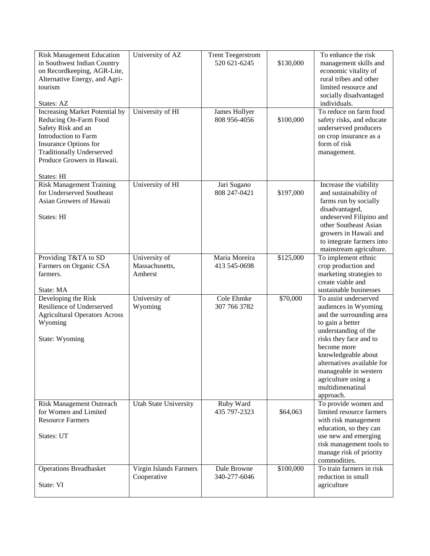| <b>Risk Management Education</b><br>in Southwest Indian Country<br>on Recordkeeping, AGR-Lite,                                                                                                                        | University of AZ                           | <b>Trent Teegerstrom</b><br>520 621-6245 | \$130,000 | To enhance the risk<br>management skills and<br>economic vitality of                                                                                                                                                                                                                                 |
|-----------------------------------------------------------------------------------------------------------------------------------------------------------------------------------------------------------------------|--------------------------------------------|------------------------------------------|-----------|------------------------------------------------------------------------------------------------------------------------------------------------------------------------------------------------------------------------------------------------------------------------------------------------------|
| Alternative Energy, and Agri-<br>tourism                                                                                                                                                                              |                                            |                                          |           | rural tribes and other<br>limited resource and<br>socially disadvantaged                                                                                                                                                                                                                             |
| States: AZ                                                                                                                                                                                                            |                                            |                                          |           | individuals.                                                                                                                                                                                                                                                                                         |
| <b>Increasing Market Potential by</b><br>Reducing On-Farm Food<br>Safety Risk and an<br>Introduction to Farm<br>Insurance Options for<br><b>Traditionally Underserved</b><br>Produce Growers in Hawaii.<br>States: HI | University of HI                           | James Hollyer<br>808 956-4056            | \$100,000 | To reduce on farm food<br>safety risks, and educate<br>underserved producers<br>on crop insurance as a<br>form of risk<br>management.                                                                                                                                                                |
| <b>Risk Management Training</b><br>for Underserved Southeast<br>Asian Growers of Hawaii<br>States: HI                                                                                                                 | University of HI                           | Jari Sugano<br>808 247-0421              | \$197,000 | Increase the viability<br>and sustainability of<br>farms run by socially<br>disadvantaged,<br>undeserved Filipino and<br>other Southeast Asian<br>growers in Hawaii and<br>to integrate farmers into<br>mainstream agriculture.                                                                      |
| Providing T&TA to SD<br>Farmers on Organic CSA<br>farmers.<br>State: MA                                                                                                                                               | University of<br>Massachusetts,<br>Amherst | Maria Moreira<br>413 545-0698            | \$125,000 | To implement ethnic<br>crop production and<br>marketing strategies to<br>create viable and<br>sustainable businesses                                                                                                                                                                                 |
| Developing the Risk<br>Resilience of Underserved<br><b>Agricultural Operators Across</b><br>Wyoming<br>State: Wyoming                                                                                                 | University of<br>Wyoming                   | Cole Ehmke<br>307 766 3782               | \$70,000  | To assist underserved<br>audiences in Wyoming<br>and the surrounding area<br>to gain a better<br>understanding of the<br>risks they face and to<br>become more<br>knowledgeable about<br>alternatives available for<br>manageable in western<br>agriculture using a<br>multidimenatinal<br>approach. |
| <b>Risk Management Outreach</b><br>for Women and Limited<br><b>Resource Farmers</b><br>States: UT                                                                                                                     | Utah State University                      | Ruby Ward<br>435 797-2323                | \$64,063  | To provide women and<br>limited resource farmers<br>with risk management<br>education, so they can<br>use new and emerging<br>risk management tools to<br>manage risk of priority<br>commodities.                                                                                                    |
| <b>Operations Breadbasket</b><br>State: VI                                                                                                                                                                            | Virgin Islands Farmers<br>Cooperative      | Dale Browne<br>340-277-6046              | \$100,000 | To train farmers in risk<br>reduction in small<br>agriculture                                                                                                                                                                                                                                        |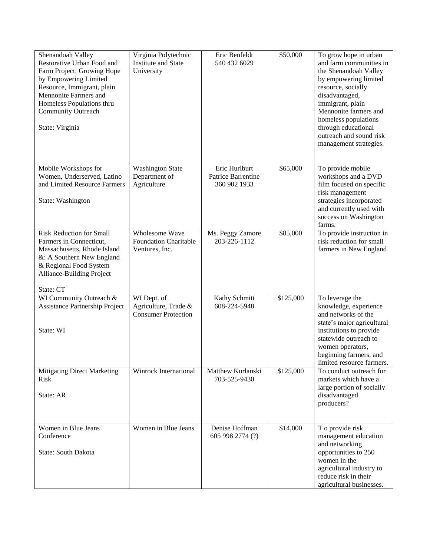| Shenandoah Valley<br>Restorative Urban Food and<br>Farm Project: Growing Hope<br>by Empowering Limited<br>Resource, Immigrant, plain<br>Mennonite Farmers and<br>Homeless Populations thru<br><b>Community Outreach</b><br>State: Virginia | Virginia Polytechnic<br><b>Institute and State</b><br>University  | Eric Benfeldt<br>540 432 6029                       | \$50,000  | To grow hope in urban<br>and farm communities in<br>the Shenandoah Valley<br>by empowering limited<br>resource, socially<br>disadvantaged,<br>immigrant, plain<br>Mennonite farmers and<br>homeless populations<br>through educational<br>outreach and sound risk<br>management strategies. |
|--------------------------------------------------------------------------------------------------------------------------------------------------------------------------------------------------------------------------------------------|-------------------------------------------------------------------|-----------------------------------------------------|-----------|---------------------------------------------------------------------------------------------------------------------------------------------------------------------------------------------------------------------------------------------------------------------------------------------|
| Mobile Workshops for<br>Women, Underserved, Latino<br>and Limited Resource Farmers<br>State: Washington                                                                                                                                    | <b>Washington State</b><br>Department of<br>Agriculture           | Eric Hurlburt<br>Patrice Barrentine<br>360 902 1933 | \$65,000  | To provide mobile<br>workshops and a DVD<br>film focused on specific<br>risk management<br>strategies incorporated<br>and currently used with<br>success on Washington<br>farms.                                                                                                            |
| <b>Risk Reduction for Small</b><br>Farmers in Connecticut,<br>Massachusetts, Rhode Island<br>&: A Southern New England<br>& Regional Food System<br>Alliance-Building Project<br>State: CT                                                 | Wholesome Wave<br><b>Foundation Charitable</b><br>Ventures, Inc.  | Ms. Peggy Zamore<br>203-226-1112                    | \$85,000  | To provide instruction in<br>risk reduction for small<br>farmers in New England                                                                                                                                                                                                             |
| WI Community Outreach &<br>Assistance Partnership Project<br>State: WI                                                                                                                                                                     | WI Dept. of<br>Agriculture, Trade &<br><b>Consumer Protection</b> | Kathy Schmitt<br>608-224-5948                       | \$125,000 | To leverage the<br>knowledge, experience<br>and networks of the<br>state's major agricultural<br>institutions to provide<br>statewide outreach to<br>women operators,<br>beginning farmers, and<br>limited resource farmers.                                                                |
| <b>Mitigating Direct Marketing</b><br><b>Risk</b><br>State: AR                                                                                                                                                                             | Winrock International                                             | Matthew Kurlanski<br>703-525-9430                   | \$125,000 | To conduct outreach for<br>markets which have a<br>large portion of socially<br>disadvantaged<br>producers?                                                                                                                                                                                 |
| Women in Blue Jeans<br>Conference<br><b>State: South Dakota</b>                                                                                                                                                                            | Women in Blue Jeans                                               | Denise Hoffman<br>605 998 2774 (?)                  | \$14,000  | T o provide risk<br>management education<br>and networking<br>opportunities to 250<br>women in the<br>agricultural industry to<br>reduce risk in their<br>agricultural businesses.                                                                                                          |